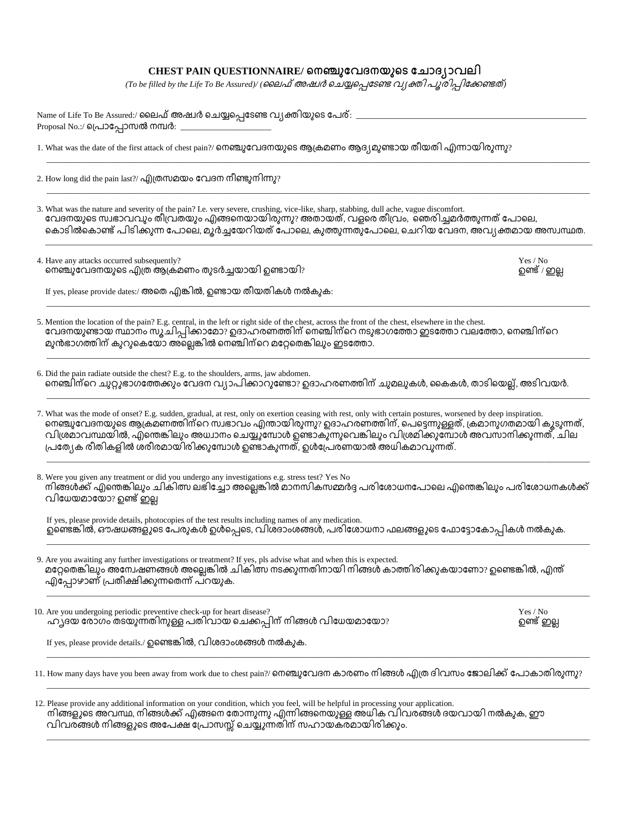| Name of Life To Be Assured:/ ലൈഫ് അഷ്വർ ചെയ്യപ്പെടേണ്ട വ്യക്തിയുടെ പേര്: $\_$<br>Proposal No.:/ പ്രൊപ്പോസൽ നമ്പർ:                                                                                                                                                                                                                                                                                                                                                              |                          |
|--------------------------------------------------------------------------------------------------------------------------------------------------------------------------------------------------------------------------------------------------------------------------------------------------------------------------------------------------------------------------------------------------------------------------------------------------------------------------------|--------------------------|
| 1. What was the date of the first attack of chest pain?/ നെഞ്ചുവേദനയുടെ ആക്രമണം ആദ്യമുണ്ടായ തീയതി എന്നായിരുന്നു?                                                                                                                                                                                                                                                                                                                                                               |                          |
| 2. How long did the pain last?/ എത്രസമയം വേദന നീണ്ടുനിന്നു?                                                                                                                                                                                                                                                                                                                                                                                                                    |                          |
| 3. What was the nature and severity of the pain? I.e. very severe, crushing, vice-like, sharp, stabbing, dull ache, vague discomfort.<br>വേദനയുടെ സ്വഭാവവും തീവ്രതയും എങ്ങനെയായിരുന്നു? അതായത്, വളരെ തീവ്രം, `ഞെരിച്ചമർത്തുന്നത് പോലെ,<br>കൊടിൽകൊണ്ട് പിടിക്കുന്ന പോലെ, മുർച്ചയേറിയത് പോലെ, കുത്തുന്നതുപോലെ, ചെറിയ വേദന, അവ്യക്തമായ അസ്വസ്ഥത.                                                                                                                                  |                          |
| 4. Have any attacks occurred subsequently?<br>നെഞ്ചുവേദനയുടെ എത്ര ആക്രമണം തുടർച്ചയായി ഉണ്ടായി?                                                                                                                                                                                                                                                                                                                                                                                 | Yes / No<br>ഉണ്ട് / ഇല്ല |
| If yes, please provide dates:/ അതെ എങ്കിൽ, ഉണ്ടായ തീയതികൾ നൽകുക:                                                                                                                                                                                                                                                                                                                                                                                                               |                          |
| 5. Mention the location of the pain? E.g. central, in the left or right side of the chest, across the front of the chest, elsewhere in the chest.<br>വേദനയുണ്ടായ സ്ഥാനം സൂചിപ്പിക്കാമോ? ഉദാഹരണത്തിന് നെഞ്ചിന്റെ നടുഭാഗത്തോ ഇടത്തോ വലത്തോ, നെഞ്ചിന്റെ<br>മുൻഭാഗത്തിന് കുറുകെയോ അല്ലെങ്കിൽ നെഞ്ചിന്റെ മറ്റേതെങ്കിലും ഇടത്തോ.                                                                                                                                                     |                          |
| 6. Did the pain radiate outside the chest? E.g. to the shoulders, arms, jaw abdomen.<br>നെഞ്ചിന്റെ ചുറ്റുഭാഗത്തേക്കും വേദന വ്യാപിക്കാറുണ്ടോ? ഉദാഹരണത്തിന് ചുമലുകൾ, കൈകൾ, താടിയെല്ല്, അടിവയർ.                                                                                                                                                                                                                                                                                   |                          |
| 7. What was the mode of onset? E.g. sudden, gradual, at rest, only on exertion ceasing with rest, only with certain postures, worsened by deep inspiration.<br>. നെഞ്ചുവേദനയുടെ ആക്രമണത്തിന്റെ സ്വഭാവം എന്തായിരുന്നു? ഉദാഹരണത്തിന്, പെട്ടെന്നുള്ളത്, ക്രമാനുഗതമായി കൂടുന്നത്,<br>വിശ്രമാവസ്ഥയിൽ, എന്തെങ്കിലും അധ്വാനം ചെയ്യുമ്പോൾ ഉണ്ടാകുന്നുവെങ്കിലും വിശ്രമിക്കുമ്പോൾ അവസാനിക്കുന്നത്. ചില<br>പ്രത്യേക രീതികളിൽ ശരീരമായിരിക്കുമ്പോൾ ഉണ്ടാകുന്നത്, ഉൾപ്രേരണയാൽ അധികമാവുന്നത്. |                          |
| 8. Were you given any treatment or did you undergo any investigations e.g. stress test? Yes No<br>നിങ്ങൾക്ക് എന്തെങ്കിലും ചികിത്സ ലഭിച്ചോ അല്ലെങ്കിൽ മാനസികസമ്മർദ്ദ പരിശോധനപോലെ എന്തെങ്കിലും പരിശോധനകൾക്ക്<br>വിധേയമായോ? ഉണ്ട് ഇല്ല                                                                                                                                                                                                                                            |                          |
| If yes, please provide details, photocopies of the test results including names of any medication.<br>ഉണ്ടെങ്കിൽ, ഔഷധങ്ങളുടെ പേരുകൾ ഉൾപ്പെടെ, വിശദാംശങ്ങൾ, പരിശോധനാ ഫലങ്ങളുടെ ഫോട്ടോകോപ്പികൾ നൽകുക.                                                                                                                                                                                                                                                                            |                          |
| 9. Are you awaiting any further investigations or treatment? If yes, pls advise what and when this is expected.<br>മറ്റേതെങ്കിലും അന്വേഷണങ്ങൾ അല്ലെങ്കിൽ ചികിത്സ നടക്കുന്നതിനായി നിങ്ങൾ കാത്തിരിക്കുകയാണോ? ഉണ്ടെങ്കിൽ, എന്ത്<br>എപ്പോഴാണ് പ്രതീക്ഷിക്കുന്നതെന്ന് പറയുക.                                                                                                                                                                                                        |                          |
| 10. Are you undergoing periodic preventive check-up for heart disease?<br>ഹ്യദയ രോഗം തടയുന്നതിനുള്ള പതിവായ ചെക്കപ്പിന് നിങ്ങൾ വിധേയമായോ?                                                                                                                                                                                                                                                                                                                                       | Yes / No<br>ഉണ്ട് ഇല്ല   |
| If yes, please provide details./ ഉണ്ടെങ്കിൽ, വിശദാംശങ്ങൾ നൽകുക.                                                                                                                                                                                                                                                                                                                                                                                                                |                          |
| 11. How many days have you been away from work due to chest pain?/ നെഞ്ചുവേദന കാരണം നിങ്ങൾ എത്ര ദിവസം ജോലിക്ക് പോകാതിരുന്നു?                                                                                                                                                                                                                                                                                                                                                   |                          |
| 12. Please provide any additional information on your condition, which you feel, will be helpful in processing your application.<br>. നിങ്ങളുടെ അവസ്ഥ, നിങ്ങൾക്ക് എങ്ങനെ തോന്നുന്നു എന്നിങ്ങനെയുള്ള അധിക വിവരങ്ങൾ ദയവായി നൽകുക, ഈ<br>വിവരങ്ങൾ നിങ്ങളുടെ അപേക്ഷ പ്രോസസ്സ് ചെയ്യുന്നതിന് സഹായകരമായിരിക്കും.                                                                                                                                                                      |                          |

\_\_\_\_\_\_\_\_\_\_\_\_\_\_\_\_\_\_\_\_\_\_\_\_\_\_\_\_\_\_\_\_\_\_\_\_\_\_\_\_\_\_\_\_\_\_\_\_\_\_\_\_\_\_\_\_\_\_\_\_\_\_\_\_\_\_\_\_\_\_\_\_\_\_\_\_\_\_\_\_\_\_\_\_\_\_\_\_\_\_\_\_\_\_\_\_\_\_\_\_\_\_\_\_\_\_\_\_\_\_\_\_\_\_\_\_\_\_\_\_\_\_\_\_\_\_\_\_\_\_\_\_

## **CHEST PAIN QUESTIONNAIRE/**

*(To be filled by the Life To Be Assured)/ ( )*